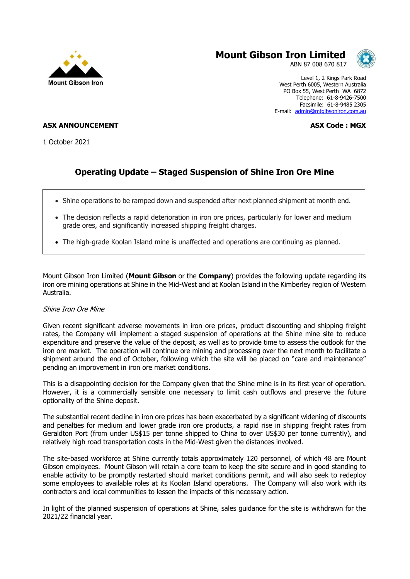





Level 1, 2 Kings Park Road West Perth 6005, Western Australia PO Box 55, West Perth WA 6872 Telephone: 61-8-9426-7500 Facsimile: 61-8-9485 2305 E-mail: [admin@mtgibsoniron.com.au](mailto:admin@mtgibsoniron.com.au)

**ASX ANNOUNCEMENT ASX Code : MGX**

1 October 2021

## **Operating Update – Staged Suspension of Shine Iron Ore Mine**

- Shine operations to be ramped down and suspended after next planned shipment at month end.
- The decision reflects a rapid deterioration in iron ore prices, particularly for lower and medium grade ores, and significantly increased shipping freight charges.
- The high-grade Koolan Island mine is unaffected and operations are continuing as planned.

Mount Gibson Iron Limited (**Mount Gibson** or the **Company**) provides the following update regarding its iron ore mining operations at Shine in the Mid-West and at Koolan Island in the Kimberley region of Western Australia.

## Shine Iron Ore Mine

Given recent significant adverse movements in iron ore prices, product discounting and shipping freight rates, the Company will implement a staged suspension of operations at the Shine mine site to reduce expenditure and preserve the value of the deposit, as well as to provide time to assess the outlook for the iron ore market. The operation will continue ore mining and processing over the next month to facilitate a shipment around the end of October, following which the site will be placed on "care and maintenance" pending an improvement in iron ore market conditions.

This is a disappointing decision for the Company given that the Shine mine is in its first year of operation. However, it is a commercially sensible one necessary to limit cash outflows and preserve the future optionality of the Shine deposit.

The substantial recent decline in iron ore prices has been exacerbated by a significant widening of discounts and penalties for medium and lower grade iron ore products, a rapid rise in shipping freight rates from Geraldton Port (from under US\$15 per tonne shipped to China to over US\$30 per tonne currently), and relatively high road transportation costs in the Mid-West given the distances involved.

The site-based workforce at Shine currently totals approximately 120 personnel, of which 48 are Mount Gibson employees. Mount Gibson will retain a core team to keep the site secure and in good standing to enable activity to be promptly restarted should market conditions permit, and will also seek to redeploy some employees to available roles at its Koolan Island operations. The Company will also work with its contractors and local communities to lessen the impacts of this necessary action.

In light of the planned suspension of operations at Shine, sales guidance for the site is withdrawn for the 2021/22 financial year.